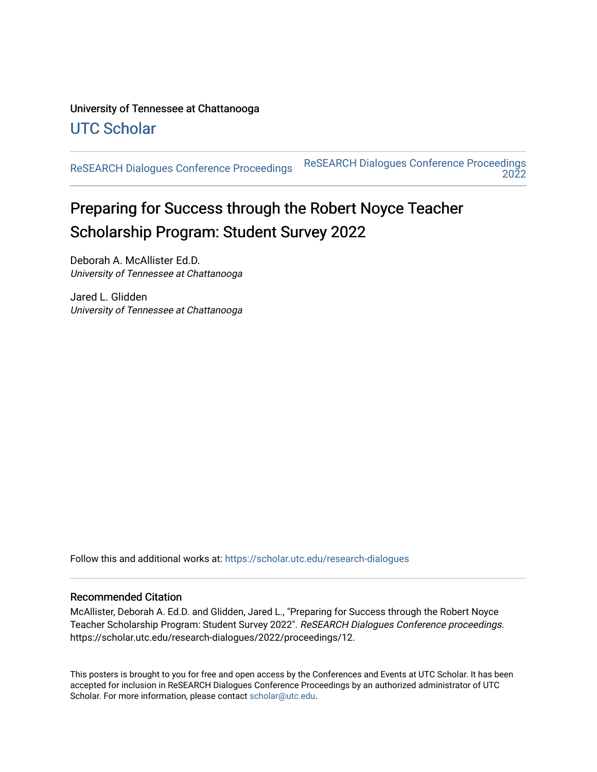#### University of Tennessee at Chattanooga [UTC Scholar](https://scholar.utc.edu/)

[ReSEARCH Dialogues Conference Proceedings](https://scholar.utc.edu/research-dialogues) [ReSEARCH Dialogues Conference Proceedings](https://scholar.utc.edu/research-dialogues/2022)  [2022](https://scholar.utc.edu/research-dialogues/2022) 

#### Preparing for Success through the Robert Noyce Teacher Scholarship Program: Student Survey 2022

Deborah A. McAllister Ed.D. University of Tennessee at Chattanooga

Jared L. Glidden University of Tennessee at Chattanooga

Follow this and additional works at: [https://scholar.utc.edu/research-dialogues](https://scholar.utc.edu/research-dialogues?utm_source=scholar.utc.edu%2Fresearch-dialogues%2F2022%2Fproceedings%2F12&utm_medium=PDF&utm_campaign=PDFCoverPages) 

#### Recommended Citation

McAllister, Deborah A. Ed.D. and Glidden, Jared L., "Preparing for Success through the Robert Noyce Teacher Scholarship Program: Student Survey 2022". ReSEARCH Dialogues Conference proceedings. https://scholar.utc.edu/research-dialogues/2022/proceedings/12.

This posters is brought to you for free and open access by the Conferences and Events at UTC Scholar. It has been accepted for inclusion in ReSEARCH Dialogues Conference Proceedings by an authorized administrator of UTC Scholar. For more information, please contact [scholar@utc.edu.](mailto:scholar@utc.edu)